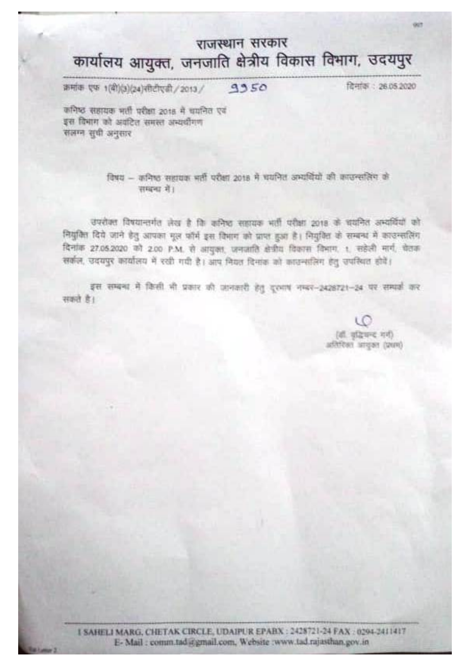## राजस्थान सरकार कार्यालय आयुक्त, जनजाति क्षेत्रीय विकास विभाग, उदयपुर

क्रमांक एफ 1(वी)(3)(24)सीटीएडी / 2013 / 9950

दिनांक : 26.05.2020

**GOT** 

कनिष्ठ सहायक भर्ती परीक्षा 2018 में धयनित एवं इस विभाग को अवंटित समस्त अभ्यथीगण संलग्न सूची अनुसार

> विषय - कनिष्ठ सहायक भर्ती परीक्षा 2018 में घयनित अभ्यवियों की काउन्सलिंग के शम्बना में।

उपरोक्त विषयान्तर्गत लेख है कि कनिष्ठ सहायक भर्ती परीक्षा 2018 के चयनित अभ्ययियों को नियुक्ति दिये जाने हेतु आपका मूल फॉर्म इस विभाग को प्राप्त हुआ है। नियुक्ति के सम्बन्ध में काउन्सलिंग दिनांक 27.05.2020 को 2.00 P.M. से आयुक्त, जनजाति क्षेत्रीय विकास विभाग, t. सहेली मार्ग, चेतक सर्कल, उदयपुर कार्यालय में रखी गयी है। आप मियत दिनांक को काउन्सलिंग हेतु उपस्थित होये।

इस सम्बन्ध में किसी भी प्रकार की आनकारी हेतु दुरुवाप नम्बर-2428721-24 पर सम्पर्क कर सकते हैं।

> (थी. वाडियन्द शरी) (most request redition

I SAHELI MARG, CHETAK CIRCLE, UDAIPUR EPABX : 2428721-24 FAX : 0294-2411417 E-Mail: comm.tad @gmail.com, Website :www.tad.rajasthan.gov.in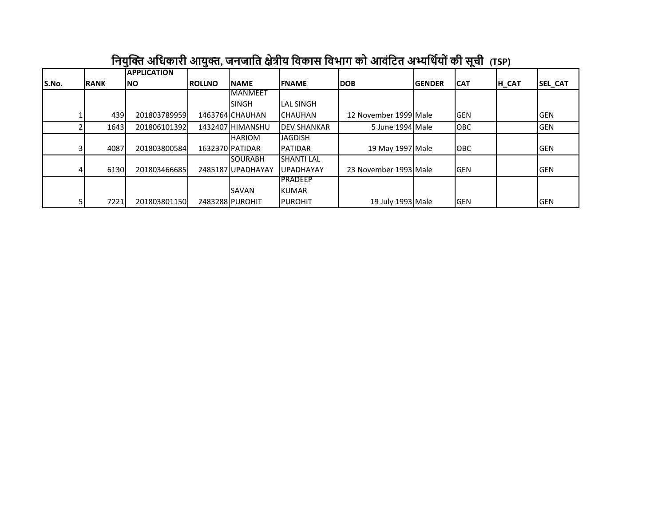|       |             | <b>APPLICATION</b> |               |                  |                     |                       |               |            |       |              |
|-------|-------------|--------------------|---------------|------------------|---------------------|-----------------------|---------------|------------|-------|--------------|
| S.No. | <b>RANK</b> | INO.               | <b>ROLLNO</b> | <b>INAME</b>     | <b>IFNAME</b>       | <b>IDOB</b>           | <b>GENDER</b> | <b>CAT</b> | H_CAT | SEL_CAT      |
|       |             |                    |               | <b>IMANMEET</b>  |                     |                       |               |            |       |              |
|       |             |                    |               | Isingh           | <b>LAL SINGH</b>    |                       |               |            |       |              |
|       | 439         | 201803789959       |               | 1463764 CHAUHAN  | <b>ICHAUHAN</b>     | 12 November 1999 Male |               | <b>GEN</b> |       | <b>I</b> GEN |
|       | 1643        | 201806101392       |               | 1432407 HIMANSHU | <b>IDEV SHANKAR</b> | 5 June 1994 Male      |               | <b>OBC</b> |       | <b>GEN</b>   |
|       |             |                    |               | <b>HARIOM</b>    | <b>JAGDISH</b>      |                       |               |            |       |              |
|       | 4087        | 201803800584       |               | 1632370 PATIDAR  | <b>IPATIDAR</b>     | 19 May 1997 Male      |               | <b>OBC</b> |       | <b>I</b> GEN |
|       |             |                    |               | <b>I</b> SOURABH | <b>SHANTI LAL</b>   |                       |               |            |       |              |
|       | 6130        | 201803466685       |               | 2485187UPADHAYAY | <b>IUPADHAYAY</b>   | 23 November 1993 Male |               | <b>GEN</b> |       | <b>GEN</b>   |
|       |             |                    |               |                  | <b>IPRADEEP</b>     |                       |               |            |       |              |
|       |             |                    |               | <b>I</b> SAVAN   | <b>IKUMAR</b>       |                       |               |            |       |              |
|       | 7221        | 201803801150       |               | 2483288 PUROHIT  | <b>IPUROHIT</b>     | 19 July 1993 Male     |               | <b>GEN</b> |       | lgen         |

## **नियुक्ति अनिकारी आयुि, जिजानि क्षेत्रीय निकास निभाग को आिंनिि अभ्यनथियोंकी सूची (TSP)**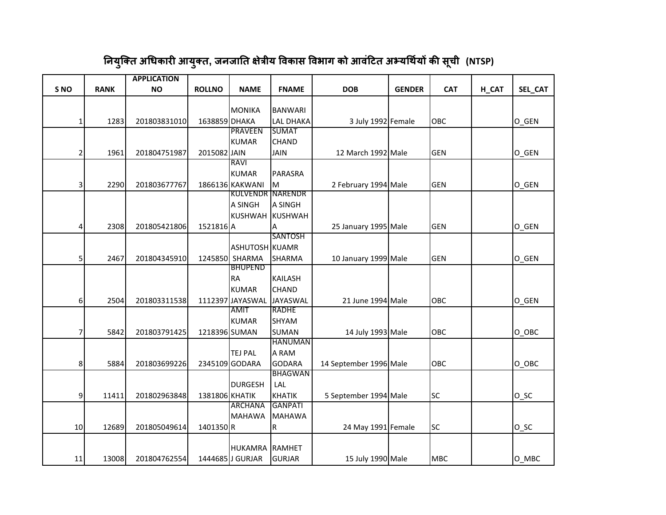|                         |             | <b>APPLICATION</b> |                |                         |                  |                        |               |            |       |                    |
|-------------------------|-------------|--------------------|----------------|-------------------------|------------------|------------------------|---------------|------------|-------|--------------------|
| S <sub>NO</sub>         | <b>RANK</b> | <b>NO</b>          | <b>ROLLNO</b>  | <b>NAME</b>             | <b>FNAME</b>     | <b>DOB</b>             | <b>GENDER</b> | <b>CAT</b> | H_CAT | SEL_CAT            |
|                         |             |                    |                |                         |                  |                        |               |            |       |                    |
|                         |             |                    |                | <b>MONIKA</b>           | <b>BANWARI</b>   |                        |               |            |       |                    |
| $1\vert$                | 1283        | 201803831010       | 1638859 DHAKA  |                         | <b>LAL DHAKA</b> | 3 July 1992 Female     |               | OBC        |       | O GEN              |
|                         |             |                    |                | <b>PRAVEEN</b>          | <b>SUMAT</b>     |                        |               |            |       |                    |
|                         |             |                    |                | <b>KUMAR</b>            | <b>CHAND</b>     |                        |               |            |       |                    |
| $\mathbf{2}$            | 1961        | 201804751987       | 2015082 JAIN   |                         | <b>JAIN</b>      | 12 March 1992 Male     |               | <b>GEN</b> |       | O GEN              |
|                         |             |                    |                | RAVI                    |                  |                        |               |            |       |                    |
|                         |             |                    |                | <b>KUMAR</b>            | PARASRA          |                        |               |            |       |                    |
| $\overline{\mathsf{3}}$ | 2290        | 201803677767       |                | 1866136 KAKWANI         | M                | 2 February 1994 Male   |               | <b>GEN</b> |       | O GEN              |
|                         |             |                    |                | <b>KULVENDR NARENDR</b> |                  |                        |               |            |       |                    |
|                         |             |                    |                | A SINGH                 | <b>A SINGH</b>   |                        |               |            |       |                    |
|                         |             |                    |                |                         | KUSHWAH KUSHWAH  |                        |               |            |       |                    |
| $\overline{4}$          | 2308        | 201805421806       | 1521816 A      |                         | Α                | 25 January 1995 Male   |               | <b>GEN</b> |       | O_GEN              |
|                         |             |                    |                |                         | <b>SANTOSH</b>   |                        |               |            |       |                    |
|                         |             |                    |                | ASHUTOSH KUAMR          |                  |                        |               |            |       |                    |
| 5                       | 2467        | 201804345910       |                | 1245850 SHARMA          | <b>SHARMA</b>    | 10 January 1999 Male   |               | <b>GEN</b> |       | O GEN              |
|                         |             |                    |                | <b>BHUPEND</b>          |                  |                        |               |            |       |                    |
|                         |             |                    |                | <b>RA</b>               | <b>KAILASH</b>   |                        |               |            |       |                    |
|                         |             |                    |                | <b>KUMAR</b>            | <b>CHAND</b>     |                        |               |            |       |                    |
| $6 \mid$                | 2504        | 201803311538       |                | 1112397 JAYASWAL        | JAYASWAL         | 21 June 1994 Male      |               | OBC        |       | O_GEN              |
|                         |             |                    |                | <b>AMIT</b>             | <b>RADHE</b>     |                        |               |            |       |                    |
|                         |             |                    |                | <b>KUMAR</b>            | <b>SHYAM</b>     |                        |               |            |       |                    |
| 7                       | 5842        | 201803791425       | 1218396 SUMAN  |                         | <b>SUMAN</b>     | 14 July 1993 Male      |               | OBC        |       | O OBC              |
|                         |             |                    |                |                         | <b>HANUMAN</b>   |                        |               |            |       |                    |
|                         |             |                    |                | <b>TEJ PAL</b>          | A RAM            |                        |               |            |       |                    |
| 8                       | 5884        | 201803699226       |                | 2345109 GODARA          | <b>GODARA</b>    | 14 September 1996 Male |               | OBC        |       | O OBC              |
|                         |             |                    |                |                         | <b>BHAGWAN</b>   |                        |               |            |       |                    |
|                         |             |                    |                | <b>DURGESH</b>          | LAL              |                        |               |            |       |                    |
| 9                       | 11411       | 201802963848       | 1381806 KHATIK |                         | <b>KHATIK</b>    | 5 September 1994 Male  |               | <b>SC</b>  |       | $O$ <sub>_SC</sub> |
|                         |             |                    |                | <b>ARCHANA</b>          | <b>GANPATI</b>   |                        |               |            |       |                    |
|                         |             |                    |                | <b>MAHAWA</b>           | <b>MAHAWA</b>    |                        |               |            |       |                    |
| 10                      | 12689       | 201805049614       | 1401350R       |                         | $\mathsf R$      | 24 May 1991 Female     |               | <b>SC</b>  |       | $O_SC$             |
|                         |             |                    |                |                         |                  |                        |               |            |       |                    |
|                         |             |                    |                | HUKAMRA RAMHET          |                  |                        |               |            |       |                    |
| 11                      | 13008       | 201804762554       |                | 1444685 J GURJAR        | GURJAR           | 15 July 1990 Male      |               | <b>MBC</b> |       | O MBC              |

## **नियुक्ति अधिकारी आयुति, जिजानि क्षेत्रीय विकास विभाग को आिंटिि अभ्यधथयि ों की सूची (NTSP)**